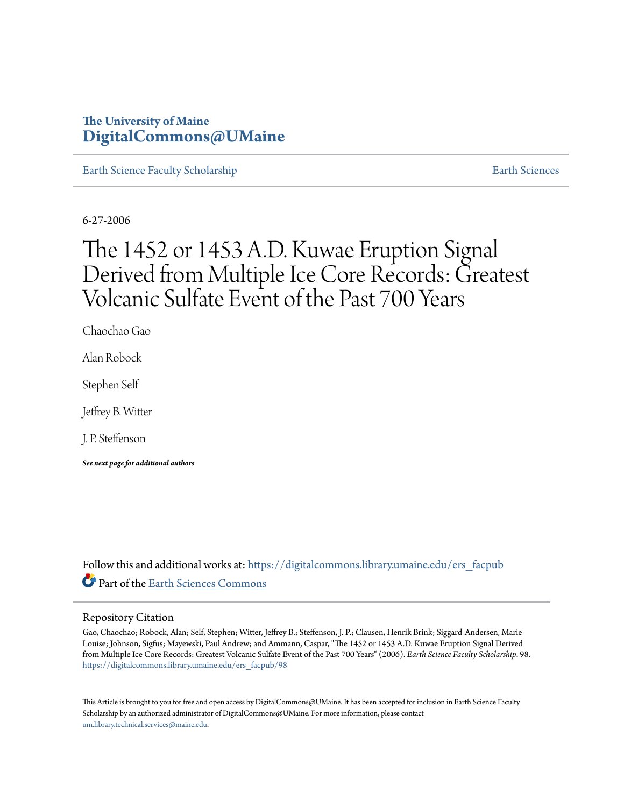## **The University of Maine [DigitalCommons@UMaine](https://digitalcommons.library.umaine.edu?utm_source=digitalcommons.library.umaine.edu%2Fers_facpub%2F98&utm_medium=PDF&utm_campaign=PDFCoverPages)**

[Earth Science Faculty Scholarship](https://digitalcommons.library.umaine.edu/ers_facpub?utm_source=digitalcommons.library.umaine.edu%2Fers_facpub%2F98&utm_medium=PDF&utm_campaign=PDFCoverPages) **[Earth Sciences](https://digitalcommons.library.umaine.edu/ers?utm_source=digitalcommons.library.umaine.edu%2Fers_facpub%2F98&utm_medium=PDF&utm_campaign=PDFCoverPages)** 

6-27-2006

# The 1452 or 1453 A.D. Kuwae Eruption Signal Derived from Multiple Ice Core Records: Greatest Volcanic Sulfate Event of the Past 700 Years

Chaochao Gao

Alan Robock

Stephen Self

Jeffrey B. Witter

J. P. Steffenson

*See next page for additional authors*

Follow this and additional works at: [https://digitalcommons.library.umaine.edu/ers\\_facpub](https://digitalcommons.library.umaine.edu/ers_facpub?utm_source=digitalcommons.library.umaine.edu%2Fers_facpub%2F98&utm_medium=PDF&utm_campaign=PDFCoverPages) Part of the [Earth Sciences Commons](http://network.bepress.com/hgg/discipline/153?utm_source=digitalcommons.library.umaine.edu%2Fers_facpub%2F98&utm_medium=PDF&utm_campaign=PDFCoverPages)

## Repository Citation

Gao, Chaochao; Robock, Alan; Self, Stephen; Witter, Jeffrey B.; Steffenson, J. P.; Clausen, Henrik Brink; Siggard-Andersen, Marie-Louise; Johnson, Sigfus; Mayewski, Paul Andrew; and Ammann, Caspar, "The 1452 or 1453 A.D. Kuwae Eruption Signal Derived from Multiple Ice Core Records: Greatest Volcanic Sulfate Event of the Past 700 Years" (2006). *Earth Science Faculty Scholarship*. 98. [https://digitalcommons.library.umaine.edu/ers\\_facpub/98](https://digitalcommons.library.umaine.edu/ers_facpub/98?utm_source=digitalcommons.library.umaine.edu%2Fers_facpub%2F98&utm_medium=PDF&utm_campaign=PDFCoverPages)

This Article is brought to you for free and open access by DigitalCommons@UMaine. It has been accepted for inclusion in Earth Science Faculty Scholarship by an authorized administrator of DigitalCommons@UMaine. For more information, please contact [um.library.technical.services@maine.edu](mailto:um.library.technical.services@maine.edu).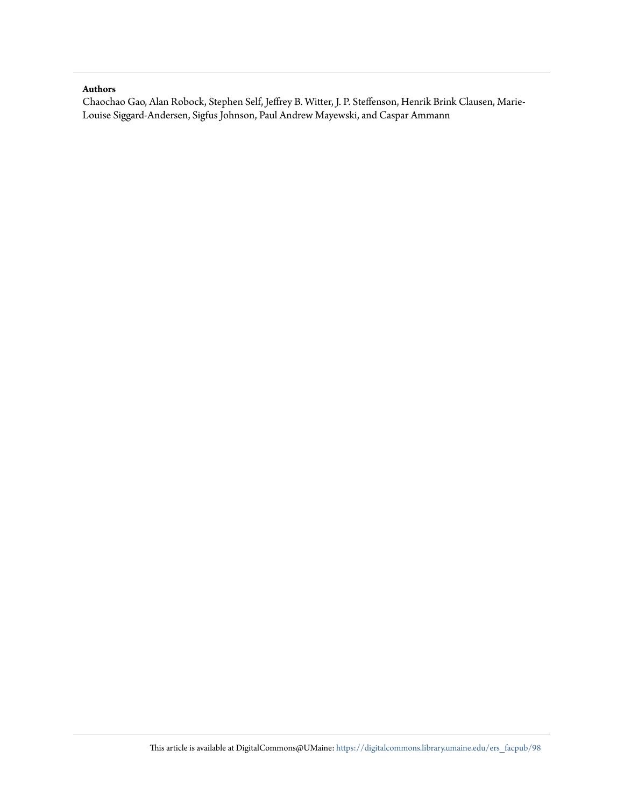## **Authors**

Chaochao Gao, Alan Robock, Stephen Self, Jeffrey B. Witter, J. P. Steffenson, Henrik Brink Clausen, Marie-Louise Siggard-Andersen, Sigfus Johnson, Paul Andrew Mayewski, and Caspar Ammann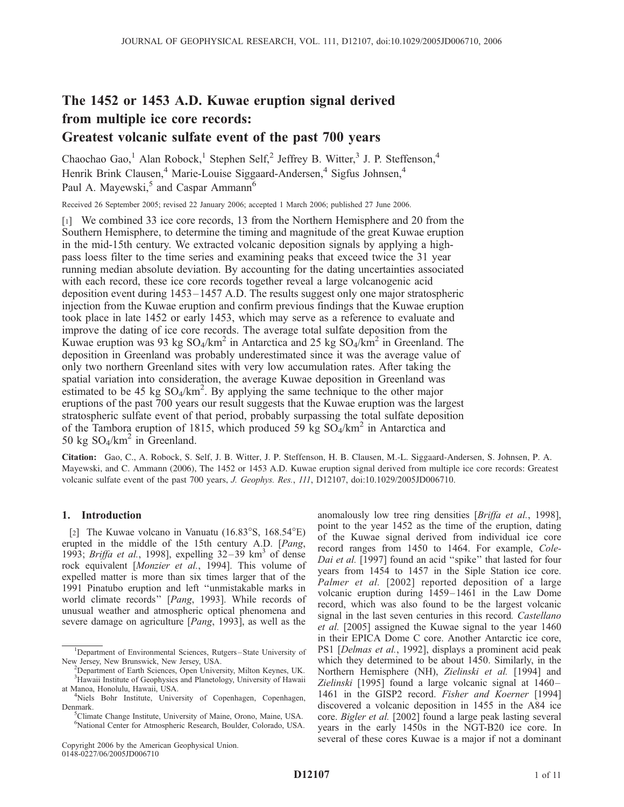## The 1452 or 1453 A.D. Kuwae eruption signal derived from multiple ice core records:

## Greatest volcanic sulfate event of the past 700 years

Chaochao Gao,<sup>1</sup> Alan Robock,<sup>1</sup> Stephen Self,<sup>2</sup> Jeffrey B. Witter,<sup>3</sup> J. P. Steffenson,<sup>4</sup> Henrik Brink Clausen,<sup>4</sup> Marie-Louise Siggaard-Andersen,<sup>4</sup> Sigfus Johnsen,<sup>4</sup> Paul A. Mayewski,<sup>5</sup> and Caspar Ammann<sup>6</sup>

Received 26 September 2005; revised 22 January 2006; accepted 1 March 2006; published 27 June 2006.

[1] We combined 33 ice core records, 13 from the Northern Hemisphere and 20 from the Southern Hemisphere, to determine the timing and magnitude of the great Kuwae eruption in the mid-15th century. We extracted volcanic deposition signals by applying a highpass loess filter to the time series and examining peaks that exceed twice the 31 year running median absolute deviation. By accounting for the dating uncertainties associated with each record, these ice core records together reveal a large volcanogenic acid deposition event during 1453–1457 A.D. The results suggest only one major stratospheric injection from the Kuwae eruption and confirm previous findings that the Kuwae eruption took place in late 1452 or early 1453, which may serve as a reference to evaluate and improve the dating of ice core records. The average total sulfate deposition from the Kuwae eruption was 93 kg  $SO_4/km^2$  in Antarctica and 25 kg  $SO_4/km^2$  in Greenland. The deposition in Greenland was probably underestimated since it was the average value of only two northern Greenland sites with very low accumulation rates. After taking the spatial variation into consideration, the average Kuwae deposition in Greenland was estimated to be 45 kg  $SO_4/km^2$ . By applying the same technique to the other major eruptions of the past 700 years our result suggests that the Kuwae eruption was the largest stratospheric sulfate event of that period, probably surpassing the total sulfate deposition of the Tambora eruption of 1815, which produced 59 kg  $SO_4/km^2$  in Antarctica and 50 kg  $SO_4/km^2$  in Greenland.

Citation: Gao, C., A. Robock, S. Self, J. B. Witter, J. P. Steffenson, H. B. Clausen, M.-L. Siggaard-Andersen, S. Johnsen, P. A. Mayewski, and C. Ammann (2006), The 1452 or 1453 A.D. Kuwae eruption signal derived from multiple ice core records: Greatest volcanic sulfate event of the past 700 years, J. Geophys. Res., 111, D12107, doi:10.1029/2005JD006710.

## 1. Introduction

[2] The Kuwae volcano in Vanuatu  $(16.83°S, 168.54°E)$ erupted in the middle of the 15th century A.D. [Pang, 1993; Briffa et al., 1998], expelling  $32-39$  km<sup>3</sup> of dense rock equivalent [Monzier et al., 1994]. This volume of expelled matter is more than six times larger that of the 1991 Pinatubo eruption and left ''unmistakable marks in world climate records'' [Pang, 1993]. While records of unusual weather and atmospheric optical phenomena and severe damage on agriculture [Pang, 1993], as well as the

Copyright 2006 by the American Geophysical Union. 0148-0227/06/2005JD006710

anomalously low tree ring densities [Briffa et al., 1998], point to the year 1452 as the time of the eruption, dating of the Kuwae signal derived from individual ice core record ranges from 1450 to 1464. For example, Cole-Dai et al. [1997] found an acid "spike" that lasted for four years from 1454 to 1457 in the Siple Station ice core. Palmer et al. [2002] reported deposition of a large volcanic eruption during 1459-1461 in the Law Dome record, which was also found to be the largest volcanic signal in the last seven centuries in this record. Castellano et al. [2005] assigned the Kuwae signal to the year 1460 in their EPICA Dome C core. Another Antarctic ice core, PS1 [Delmas et al., 1992], displays a prominent acid peak which they determined to be about 1450. Similarly, in the Northern Hemisphere (NH), Zielinski et al. [1994] and Zielinski [1995] found a large volcanic signal at 1460– 1461 in the GISP2 record. Fisher and Koerner [1994] discovered a volcanic deposition in 1455 in the A84 ice core. Bigler et al. [2002] found a large peak lasting several years in the early 1450s in the NGT-B20 ice core. In several of these cores Kuwae is a major if not a dominant

<sup>&</sup>lt;sup>1</sup>Department of Environmental Sciences, Rutgers-State University of New Jersey, New Brunswick, New Jersey, USA. <sup>2</sup>

<sup>&</sup>lt;sup>2</sup>Department of Earth Sciences, Open University, Milton Keynes, UK. <sup>3</sup>Hawaii Institute of Geophysics and Planetology, University of Hawaii at Manoa, Honolulu, Hawaii, USA. <sup>4</sup>

Niels Bohr Institute, University of Copenhagen, Copenhagen, Denmark.

Climate Change Institute, University of Maine, Orono, Maine, USA. 6 National Center for Atmospheric Research, Boulder, Colorado, USA.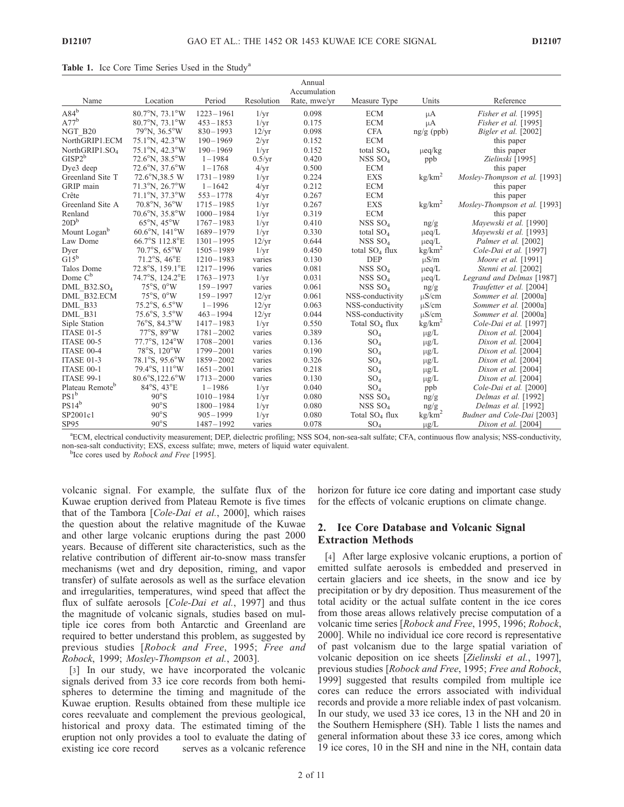| Annual<br>Accumulation      |                                    |               |                 |              |                            |                    |                               |  |  |  |  |
|-----------------------------|------------------------------------|---------------|-----------------|--------------|----------------------------|--------------------|-------------------------------|--|--|--|--|
| Name                        | Location                           | Period        | Resolution      | Rate, mwe/yr | Measure Type               | Units              | Reference                     |  |  |  |  |
| $A84^b$                     | $80.7^{\circ}$ N, $73.1^{\circ}$ W | $1223 - 1961$ | $1/\mathrm{yr}$ | 0.098        | <b>ECM</b>                 | $\mu A$            | Fisher et al. [1995]          |  |  |  |  |
| $A77^b$                     | $80.7^{\circ}$ N, $73.1^{\circ}$ W | $453 - 1853$  | $1/\mathrm{yr}$ | 0.175        | <b>ECM</b>                 | $\mu A$            | Fisher et al. [1995]          |  |  |  |  |
| NGT B20                     | 79°N, 36.5°W                       | $830 - 1993$  | 12/yr           | 0.098        | <b>CFA</b>                 | $ng/g$ (ppb)       | Bigler et al. [2002]          |  |  |  |  |
| NorthGRIP1.ECM              | 75.1°N, 42.3°W                     | $190 - 1969$  | 2/yr            | 0.152        | <b>ECM</b>                 |                    | this paper                    |  |  |  |  |
| NorthGRIP1.SO <sub>4</sub>  | 75.1°N, 42.3°W                     | $190 - 1969$  | $1/\mathrm{yr}$ | 0.152        | total $SO_4$               | $\mu$ eq/kg        | this paper                    |  |  |  |  |
| $GISP2^b$                   | $72.6^{\circ}$ N, $38.5^{\circ}$ W | $1 - 1984$    | $0.5/\text{yr}$ | 0.420        | NSS SO <sub>4</sub>        | ppb                | Zielinski [1995]              |  |  |  |  |
| Dye3 deep                   | 72.6°N, 37.6°W                     | $1 - 1768$    | 4/yr            | 0.500        | <b>ECM</b>                 |                    | this paper                    |  |  |  |  |
| Greenland Site T            | 72.6°N,38.5 W                      | $1731 - 1989$ | $1/\mathrm{yr}$ | 0.224        | <b>EXS</b>                 | kg/km <sup>2</sup> | Mosley-Thompson et al. [1993] |  |  |  |  |
| GRIP main                   | 71.3°N, 26.7°W                     | $1 - 1642$    | 4/yr            | 0.212        | <b>ECM</b>                 |                    | this paper                    |  |  |  |  |
| Crête                       | $71.1^{\circ}$ N, $37.3^{\circ}$ W | $553 - 1778$  | 4/yr            | 0.267        | <b>ECM</b>                 |                    | this paper                    |  |  |  |  |
| Greenland Site A            | $70.8^{\circ}$ N, $36^{\circ}$ W   | $1715 - 1985$ | $1/\mathrm{yr}$ | 0.267        | <b>EXS</b>                 | kg/km <sup>2</sup> | Mosley-Thompson et al. [1993] |  |  |  |  |
| Renland                     | $70.6^{\circ}$ N, $35.8^{\circ}$ W | $1000 - 1984$ | $1/\mathrm{yr}$ | 0.319        | <b>ECM</b>                 |                    | this paper                    |  |  |  |  |
| 20D <sup>b</sup>            | $65^{\circ}$ N, $45^{\circ}$ W     | $1767 - 1983$ | $1/\mathrm{yr}$ | 0.410        | NSS SO <sub>4</sub>        | ng/g               | Mayewski et al. [1990]        |  |  |  |  |
| Mount Logan <sup>b</sup>    | $60.6^{\circ}$ N, $141^{\circ}$ W  | $1689 - 1979$ | $1/\mathrm{yr}$ | 0.330        | total $SO_4$               | $\mu$ eq/L         | Mayewski et al. [1993]        |  |  |  |  |
| Law Dome                    | 66.7°S 112.8°E                     | $1301 - 1995$ | 12/yr           | 0.644        | NSS SO <sub>4</sub>        | $\mu$ eq/L         | Palmer et al. [2002]          |  |  |  |  |
| Dyer                        | 70.7°S, 65°W                       | $1505 - 1989$ | $1/\mathrm{yr}$ | 0.450        | total $SO_4$ flux          | kg/km <sup>2</sup> | Cole-Dai et al. [1997]        |  |  |  |  |
| $G15^b$                     | $71.2^{\circ}$ S, $46^{\circ}$ E   | $1210 - 1983$ | varies          | 0.130        | <b>DEP</b>                 | $\mu S/m$          | Moore et al. $[1991]$         |  |  |  |  |
| Talos Dome                  | 72.8°S, 159.1°E                    | $1217 - 1996$ | varies          | 0.081        | NSS $SO4$                  | $\mu$ eq/L         | Stenni et al. [2002]          |  |  |  |  |
| Dome $C^b$                  | 74.7°S, 124.2°E                    | $1763 - 1973$ | $1/\mathrm{yr}$ | 0.031        | NSS SO <sub>4</sub>        | $\mu$ eq/L         | Legrand and Delmas [1987]     |  |  |  |  |
| DML B32.SO <sub>4</sub>     | $75^{\circ}$ S, $0^{\circ}$ W      | $159 - 1997$  | varies          | 0.061        | NSS $SO4$                  | ng/g               | Traufetter et al. [2004]      |  |  |  |  |
| DML B32.ECM                 | $75^{\circ}$ S, $0^{\circ}$ W      | $159 - 1997$  | 12/yr           | 0.061        | NSS-conductivity           | $\mu$ S/cm         | Sommer et al. [2000a]         |  |  |  |  |
| DML B33                     | $75.2^{\circ}$ S, 6.5°W            | $1 - 1996$    | 12/yr           | 0.063        | NSS-conductivity           | $\mu$ S/cm         | Sommer et al. [2000a]         |  |  |  |  |
| DML B31                     | $75.6^{\circ}$ S, $3.5^{\circ}$ W  | $463 - 1994$  | 12/yr           | 0.044        | NSS-conductivity           | $\mu$ S/cm         | Sommer et al. [2000a]         |  |  |  |  |
| Siple Station               | 76°S, 84.3°W                       | $1417 - 1983$ | $1/\mathrm{yr}$ | 0.550        | Total SO <sub>4</sub> flux | kg/km <sup>2</sup> | Cole-Dai et al. [1997]        |  |  |  |  |
| ITASE 01-5                  | 77°S, 89°W                         | $1781 - 2002$ | varies          | 0.389        | SO <sub>4</sub>            | $\mu$ g/L          | Dixon et al. $[2004]$         |  |  |  |  |
| ITASE 00-5                  | 77.7°S, 124°W                      | $1708 - 2001$ | varies          | 0.136        | SO <sub>4</sub>            | $\mu$ g/L          | Dixon et al. $[2004]$         |  |  |  |  |
| ITASE 00-4                  | 78°S, 120°W                        | $1799 - 2001$ | varies          | 0.190        | SO <sub>4</sub>            | $\mu g/L$          | Dixon et al. $[2004]$         |  |  |  |  |
| ITASE 01-3                  | $78.1^{\circ}$ S, $95.6^{\circ}$ W | $1859 - 2002$ | varies          | 0.326        | SO <sub>4</sub>            | $\mu$ g/L          | Dixon et al. $[2004]$         |  |  |  |  |
| ITASE 00-1                  | 79.4°S, 111°W                      | $1651 - 2001$ | varies          | 0.218        | SO <sub>4</sub>            | $\mu$ g/L          | Dixon et al. $[2004]$         |  |  |  |  |
| ITASE 99-1                  | 80.6°S,122.6°W                     | $1713 - 2000$ | varies          | 0.130        | SO <sub>4</sub>            | $\mu$ g/L          | Dixon et al. $[2004]$         |  |  |  |  |
| Plateau Remote <sup>b</sup> | 84°S, 43°E                         | $1 - 1986$    | $1/\mathrm{yr}$ | 0.040        | SO <sub>4</sub>            | ppb                | Cole-Dai et al. [2000]        |  |  |  |  |
| $PS1^b$                     | $90^{\circ}$ S                     | $1010 - 1984$ | $1/\mathrm{yr}$ | 0.080        | NSS $SO4$                  | ng/g               | Delmas et al. [1992]          |  |  |  |  |
| $PS14^b$                    | $90^{\circ}$ S                     | $1800 - 1984$ | $1/\mathrm{yr}$ | 0.080        | NSS $SO4$                  | ng/g               | Delmas et al. [1992]          |  |  |  |  |
| SP2001c1                    | $90^{\circ}$ S                     | $905 - 1999$  | $1/\mathrm{yr}$ | 0.080        | Total SO <sub>4</sub> flux | kg/km <sup>2</sup> | Budner and Cole-Dai [2003]    |  |  |  |  |
| SP95                        | $90^{\circ}$ S                     | $1487 - 1992$ | varies          | 0.078        | SO <sub>4</sub>            | $\mu$ g/L          | Dixon et al. $[2004]$         |  |  |  |  |

Table 1. Ice Core Time Series Used in the Study<sup>a</sup>

a ECM, electrical conductivity measurement; DEP, dielectric profiling; NSS SO4, non-sea-salt sulfate; CFA, continuous flow analysis; NSS-conductivity, non-sea-salt conductivity; EXS, excess sulfate; mwe, meters of liquid water equivalent. <sup>b</sup>

<sup>b</sup>Ice cores used by *Robock and Free* [1995].

volcanic signal. For example, the sulfate flux of the Kuwae eruption derived from Plateau Remote is five times that of the Tambora [Cole-Dai et al., 2000], which raises the question about the relative magnitude of the Kuwae and other large volcanic eruptions during the past 2000 years. Because of different site characteristics, such as the relative contribution of different air-to-snow mass transfer mechanisms (wet and dry deposition, riming, and vapor transfer) of sulfate aerosols as well as the surface elevation and irregularities, temperatures, wind speed that affect the flux of sulfate aerosols [Cole-Dai et al., 1997] and thus the magnitude of volcanic signals, studies based on multiple ice cores from both Antarctic and Greenland are required to better understand this problem, as suggested by previous studies [Robock and Free, 1995; Free and Robock, 1999; Mosley-Thompson et al., 2003].

[3] In our study, we have incorporated the volcanic signals derived from 33 ice core records from both hemispheres to determine the timing and magnitude of the Kuwae eruption. Results obtained from these multiple ice cores reevaluate and complement the previous geological, historical and proxy data. The estimated timing of the eruption not only provides a tool to evaluate the dating of existing ice core record serves as a volcanic reference

horizon for future ice core dating and important case study for the effects of volcanic eruptions on climate change.

## 2. Ice Core Database and Volcanic Signal Extraction Methods

[4] After large explosive volcanic eruptions, a portion of emitted sulfate aerosols is embedded and preserved in certain glaciers and ice sheets, in the snow and ice by precipitation or by dry deposition. Thus measurement of the total acidity or the actual sulfate content in the ice cores from those areas allows relatively precise computation of a volcanic time series [Robock and Free, 1995, 1996; Robock, 2000]. While no individual ice core record is representative of past volcanism due to the large spatial variation of volcanic deposition on ice sheets [Zielinski et al., 1997], previous studies [Robock and Free, 1995; Free and Robock, 1999] suggested that results compiled from multiple ice cores can reduce the errors associated with individual records and provide a more reliable index of past volcanism. In our study, we used 33 ice cores, 13 in the NH and 20 in the Southern Hemisphere (SH). Table 1 lists the names and general information about these 33 ice cores, among which 19 ice cores, 10 in the SH and nine in the NH, contain data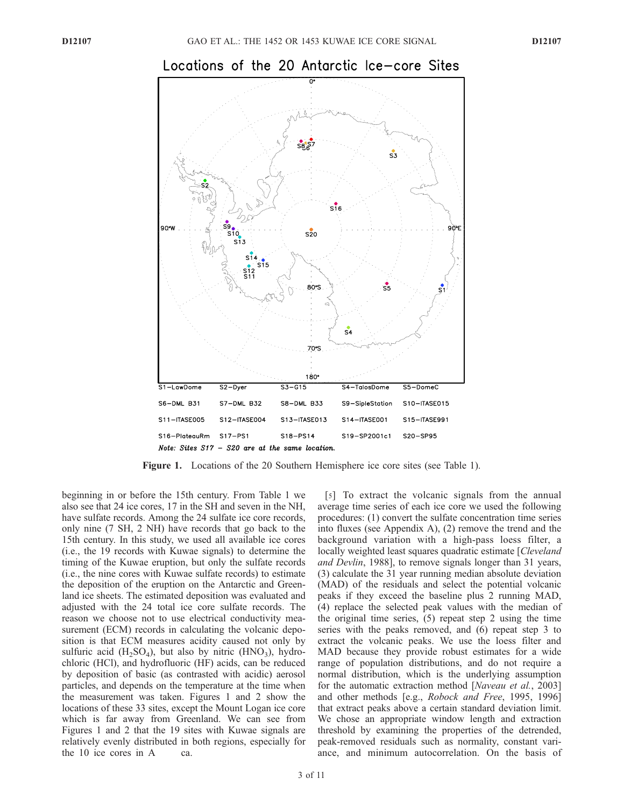

## Locations of the 20 Antarctic Ice—core Sites

Figure 1. Locations of the 20 Southern Hemisphere ice core sites (see Table 1).

beginning in or before the 15th century. From Table 1 we also see that 24 ice cores, 17 in the SH and seven in the NH, have sulfate records. Among the 24 sulfate ice core records, only nine (7 SH, 2 NH) have records that go back to the 15th century. In this study, we used all available ice cores (i.e., the 19 records with Kuwae signals) to determine the timing of the Kuwae eruption, but only the sulfate records (i.e., the nine cores with Kuwae sulfate records) to estimate the deposition of the eruption on the Antarctic and Greenland ice sheets. The estimated deposition was evaluated and adjusted with the 24 total ice core sulfate records. The reason we choose not to use electrical conductivity measurement (ECM) records in calculating the volcanic deposition is that ECM measures acidity caused not only by sulfuric acid  $(H_2SO_4)$ , but also by nitric  $(HNO_3)$ , hydrochloric (HCl), and hydrofluoric (HF) acids, can be reduced by deposition of basic (as contrasted with acidic) aerosol particles, and depends on the temperature at the time when the measurement was taken. Figures 1 and 2 show the locations of these 33 sites, except the Mount Logan ice core which is far away from Greenland. We can see from Figures 1 and 2 that the 19 sites with Kuwae signals are relatively evenly distributed in both regions, especially for the 10 ice cores in A ca.

[5] To extract the volcanic signals from the annual average time series of each ice core we used the following procedures: (1) convert the sulfate concentration time series into fluxes (see Appendix A), (2) remove the trend and the background variation with a high-pass loess filter, a locally weighted least squares quadratic estimate [Cleveland] and Devlin, 1988], to remove signals longer than 31 years, (3) calculate the 31 year running median absolute deviation (MAD) of the residuals and select the potential volcanic peaks if they exceed the baseline plus 2 running MAD, (4) replace the selected peak values with the median of the original time series, (5) repeat step 2 using the time series with the peaks removed, and (6) repeat step 3 to extract the volcanic peaks. We use the loess filter and MAD because they provide robust estimates for a wide range of population distributions, and do not require a normal distribution, which is the underlying assumption for the automatic extraction method [Naveau et al., 2003] and other methods [e.g., Robock and Free, 1995, 1996] that extract peaks above a certain standard deviation limit. We chose an appropriate window length and extraction threshold by examining the properties of the detrended, peak-removed residuals such as normality, constant variance, and minimum autocorrelation. On the basis of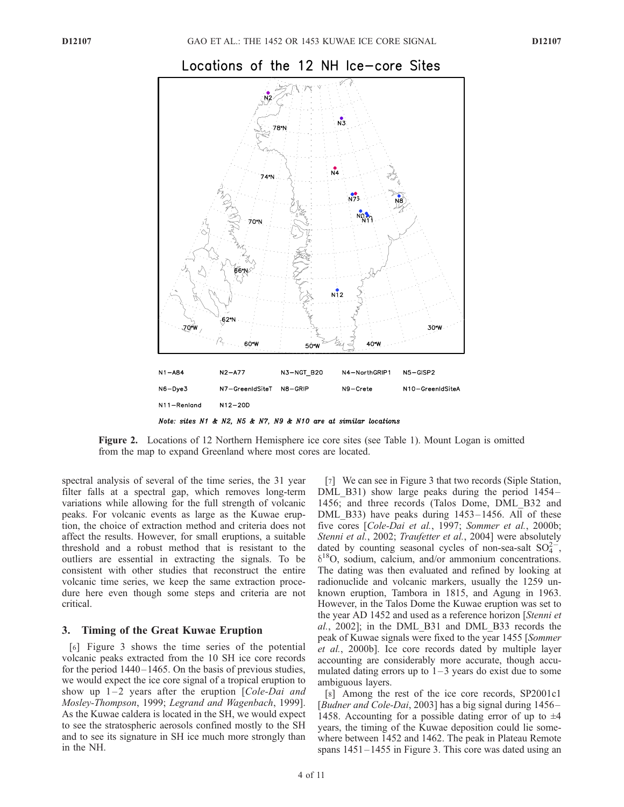

## Locations of the 12 NH Ice-core Sites

Note: sites N1 & N2, N5 & N7, N9 & N10 are at similar locations

Figure 2. Locations of 12 Northern Hemisphere ice core sites (see Table 1). Mount Logan is omitted from the map to expand Greenland where most cores are located.

spectral analysis of several of the time series, the 31 year filter falls at a spectral gap, which removes long-term variations while allowing for the full strength of volcanic peaks. For volcanic events as large as the Kuwae eruption, the choice of extraction method and criteria does not affect the results. However, for small eruptions, a suitable threshold and a robust method that is resistant to the outliers are essential in extracting the signals. To be consistent with other studies that reconstruct the entire volcanic time series, we keep the same extraction procedure here even though some steps and criteria are not critical.

## 3. Timing of the Great Kuwae Eruption

[6] Figure 3 shows the time series of the potential volcanic peaks extracted from the 10 SH ice core records for the period  $1440 - 1465$ . On the basis of previous studies, we would expect the ice core signal of a tropical eruption to show up  $1-2$  years after the eruption [Cole-Dai and Mosley-Thompson, 1999; Legrand and Wagenbach, 1999]. As the Kuwae caldera is located in the SH, we would expect to see the stratospheric aerosols confined mostly to the SH and to see its signature in SH ice much more strongly than in the NH.

[7] We can see in Figure 3 that two records (Siple Station, DML B31) show large peaks during the period 1454– 1456; and three records (Talos Dome, DML\_B32 and DML\_B33) have peaks during 1453-1456. All of these five cores [Cole-Dai et al., 1997; Sommer et al., 2000b; Stenni et al., 2002; Traufetter et al., 2004] were absolutely dated by counting seasonal cycles of non-sea-salt  $SO_4^{2-}$ , d 18O, sodium, calcium, and/or ammonium concentrations. The dating was then evaluated and refined by looking at radionuclide and volcanic markers, usually the 1259 unknown eruption, Tambora in 1815, and Agung in 1963. However, in the Talos Dome the Kuwae eruption was set to the year AD 1452 and used as a reference horizon [Stenni et al., 2002]; in the DML\_B31 and DML\_B33 records the peak of Kuwae signals were fixed to the year 1455 [Sommer et al., 2000b]. Ice core records dated by multiple layer accounting are considerably more accurate, though accumulated dating errors up to  $1-3$  years do exist due to some ambiguous layers.

[8] Among the rest of the ice core records, SP2001c1 [Budner and Cole-Dai, 2003] has a big signal during 1456– 1458. Accounting for a possible dating error of up to  $\pm 4$ years, the timing of the Kuwae deposition could lie somewhere between 1452 and 1462. The peak in Plateau Remote spans  $1451 - 1455$  in Figure 3. This core was dated using an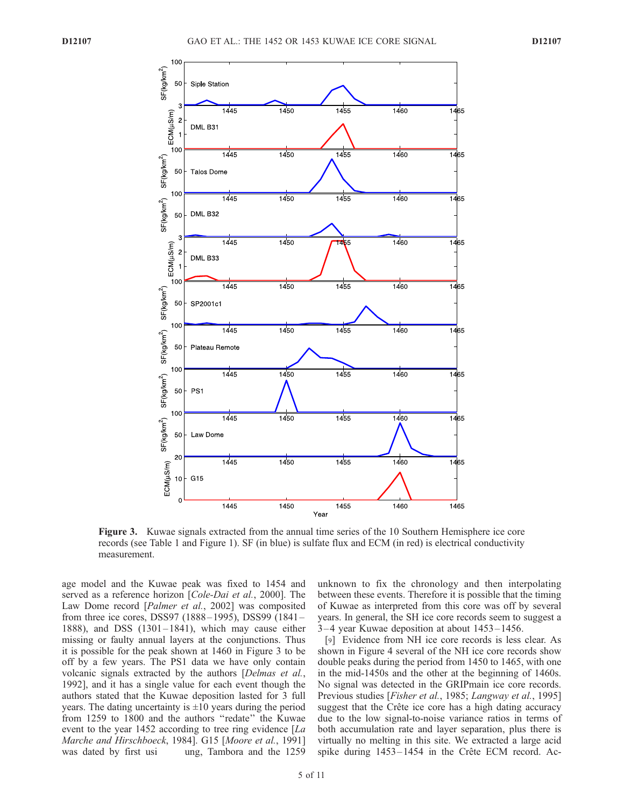

Figure 3. Kuwae signals extracted from the annual time series of the 10 Southern Hemisphere ice core records (see Table 1 and Figure 1). SF (in blue) is sulfate flux and ECM (in red) is electrical conductivity measurement.

age model and the Kuwae peak was fixed to 1454 and served as a reference horizon [Cole-Dai et al., 2000]. The Law Dome record [Palmer et al., 2002] was composited from three ice cores, DSS97 (1888 –1995), DSS99 (1841 – 1888), and DSS  $(1301-1841)$ , which may cause either missing or faulty annual layers at the conjunctions. Thus it is possible for the peak shown at 1460 in Figure 3 to be off by a few years. The PS1 data we have only contain volcanic signals extracted by the authors [Delmas et al., 1992], and it has a single value for each event though the authors stated that the Kuwae deposition lasted for 3 full years. The dating uncertainty is  $\pm 10$  years during the period from 1259 to 1800 and the authors ''redate'' the Kuwae event to the year 1452 according to tree ring evidence [La Marche and Hirschboeck, 1984]. G15 [Moore et al., 1991] was dated by first usi ung, Tambora and the 1259 unknown to fix the chronology and then interpolating between these events. Therefore it is possible that the timing of Kuwae as interpreted from this core was off by several years. In general, the SH ice core records seem to suggest a 3– 4 year Kuwae deposition at about 1453 –1456.

[9] Evidence from NH ice core records is less clear. As shown in Figure 4 several of the NH ice core records show double peaks during the period from 1450 to 1465, with one in the mid-1450s and the other at the beginning of 1460s. No signal was detected in the GRIPmain ice core records. Previous studies [Fisher et al., 1985; Langway et al., 1995] suggest that the Crête ice core has a high dating accuracy due to the low signal-to-noise variance ratios in terms of both accumulation rate and layer separation, plus there is virtually no melting in this site. We extracted a large acid spike during  $1453 - 1454$  in the Crête ECM record. Ac-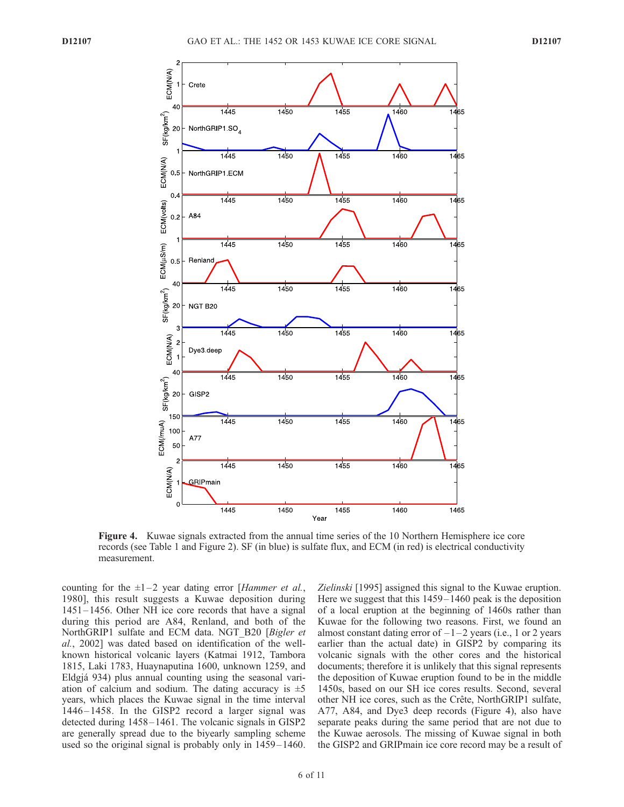

Figure 4. Kuwae signals extracted from the annual time series of the 10 Northern Hemisphere ice core records (see Table 1 and Figure 2). SF (in blue) is sulfate flux, and ECM (in red) is electrical conductivity measurement.

counting for the  $\pm 1 - 2$  year dating error [Hammer et al., 1980], this result suggests a Kuwae deposition during 1451 – 1456. Other NH ice core records that have a signal during this period are A84, Renland, and both of the NorthGRIP1 sulfate and ECM data. NGT B20 [Bigler et al., 2002] was dated based on identification of the wellknown historical volcanic layers (Katmai 1912, Tambora 1815, Laki 1783, Huaynaputina 1600, unknown 1259, and Eldgja´ 934) plus annual counting using the seasonal variation of calcium and sodium. The dating accuracy is  $\pm 5$ years, which places the Kuwae signal in the time interval 1446 – 1458. In the GISP2 record a larger signal was detected during 1458– 1461. The volcanic signals in GISP2 are generally spread due to the biyearly sampling scheme used so the original signal is probably only in 1459 –1460. Zielinski [1995] assigned this signal to the Kuwae eruption. Here we suggest that this 1459–1460 peak is the deposition of a local eruption at the beginning of 1460s rather than Kuwae for the following two reasons. First, we found an almost constant dating error of  $-1-2$  years (i.e., 1 or 2 years earlier than the actual date) in GISP2 by comparing its volcanic signals with the other cores and the historical documents; therefore it is unlikely that this signal represents the deposition of Kuwae eruption found to be in the middle 1450s, based on our SH ice cores results. Second, several other NH ice cores, such as the Crête, NorthGRIP1 sulfate, A77, A84, and Dye3 deep records (Figure 4), also have separate peaks during the same period that are not due to the Kuwae aerosols. The missing of Kuwae signal in both the GISP2 and GRIPmain ice core record may be a result of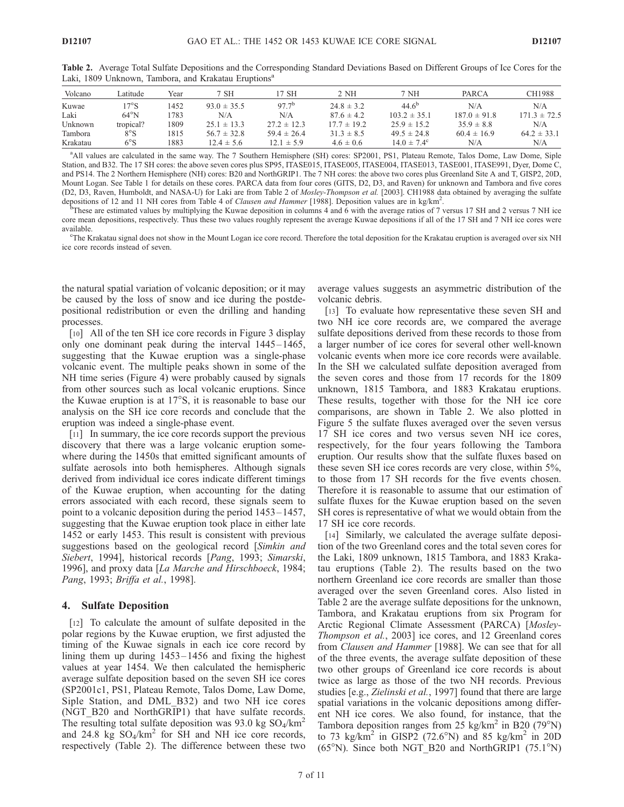| Volcano  | Latitude       | Year | 7 SH            | 7 SH            | 2 NH            | 7 NH                   | PARCA            | CH1988           |
|----------|----------------|------|-----------------|-----------------|-----------------|------------------------|------------------|------------------|
| Kuwae    | $7^\circ$ S    | 1452 | $93.0 \pm 35.5$ | $97.7^{b}$      | $24.8 \pm 3.2$  | $44.6^{\circ}$         | N/A              | N/A              |
| Laki     | $64^{\circ}$ N | 783  | N/A             | N/A             | $87.6 \pm 4.2$  | $103.2 \pm 35.1$       | $187.0 \pm 91.8$ | $171.3 \pm 72.5$ |
| Unknown  | tropical?      | 1809 | $25.1 \pm 13.3$ | $27.2 \pm 12.3$ | $17.7 \pm 19.2$ | $25.9 \pm 15.2$        | $35.9 \pm 8.8$   | N/A              |
| Tambora  | $8^\circ S$    | 1815 | $56.7 \pm 32.8$ | $59.4 \pm 26.4$ | $31.3 \pm 8.5$  | $49.5 \pm 24.8$        | $60.4 \pm 16.9$  | $64.2 \pm 33.1$  |
| Krakatau | $6^{\circ}$ S  | 1883 | $12.4 \pm 5.6$  | $12.1 \pm 5.9$  | $4.6 \pm 0.6$   | $14.0 \pm 7.4^{\circ}$ | N/A              | N/A              |

Table 2. Average Total Sulfate Depositions and the Corresponding Standard Deviations Based on Different Groups of Ice Cores for the Laki, 1809 Unknown, Tambora, and Krakatau Eruptions<sup>a</sup>

a All values are calculated in the same way. The 7 Southern Hemisphere (SH) cores: SP2001, PS1, Plateau Remote, Talos Dome, Law Dome, Siple Station, and B32. The 17 SH cores: the above seven cores plus SP95, ITASE015, ITASE005, ITASE004, ITASE013, TASE001, ITASE991, Dyer, Dome C, and PS14. The 2 Northern Hemisphere (NH) cores: B20 and NorthGRIP1. The 7 NH cores: the above two cores plus Greenland Site A and T, GISP2, 20D, Mount Logan. See Table 1 for details on these cores. PARCA data from four cores (GITS, D2, D3, and Raven) for unknown and Tambora and five cores (D2, D3, Raven, Humboldt, and NASA-U) for Laki are from Table 2 of Mosley-Thompson et al. [2003]. CH1988 data obtained by averaging the sulfate depositions of 12 and 11 NH cores from Table 4 of Clausen and Hammer [1988]. Deposition values are in kg/km<sup>2</sup>.<br><sup>1</sup> Phece are estimated values by multiplying the Kywas deposition in columns 4 and 6 with the average ratios

These are estimated values by multiplying the Kuwae deposition in columns 4 and 6 with the average ratios of 7 versus 17 SH and 2 versus 7 NH ice core mean depositions, respectively. Thus these two values roughly represent the average Kuwae depositions if all of the 17 SH and 7 NH ice cores were available.

The Krakatau signal does not show in the Mount Logan ice core record. Therefore the total deposition for the Krakatau eruption is averaged over six NH ice core records instead of seven.

the natural spatial variation of volcanic deposition; or it may be caused by the loss of snow and ice during the postdepositional redistribution or even the drilling and handing processes.

[10] All of the ten SH ice core records in Figure 3 display only one dominant peak during the interval  $1445 - 1465$ , suggesting that the Kuwae eruption was a single-phase volcanic event. The multiple peaks shown in some of the NH time series (Figure 4) were probably caused by signals from other sources such as local volcanic eruptions. Since the Kuwae eruption is at  $17^{\circ}$ S, it is reasonable to base our analysis on the SH ice core records and conclude that the eruption was indeed a single-phase event.

[11] In summary, the ice core records support the previous discovery that there was a large volcanic eruption somewhere during the 1450s that emitted significant amounts of sulfate aerosols into both hemispheres. Although signals derived from individual ice cores indicate different timings of the Kuwae eruption, when accounting for the dating errors associated with each record, these signals seem to point to a volcanic deposition during the period 1453 –1457, suggesting that the Kuwae eruption took place in either late 1452 or early 1453. This result is consistent with previous suggestions based on the geological record [Simkin and Siebert, 1994], historical records [Pang, 1993; Simarski, 1996], and proxy data [La Marche and Hirschboeck, 1984; Pang, 1993; Briffa et al., 1998].

#### 4. Sulfate Deposition

[12] To calculate the amount of sulfate deposited in the polar regions by the Kuwae eruption, we first adjusted the timing of the Kuwae signals in each ice core record by lining them up during  $1453 - 1456$  and fixing the highest values at year 1454. We then calculated the hemispheric average sulfate deposition based on the seven SH ice cores (SP2001c1, PS1, Plateau Remote, Talos Dome, Law Dome, Siple Station, and DML\_B32) and two NH ice cores (NGT\_B20 and NorthGRIP1) that have sulfate records. The resulting total sulfate deposition was 93.0 kg  $SO_4/km^2$ and 24.8 kg  $SO_4/km^2$  for SH and NH ice core records, respectively (Table 2). The difference between these two

average values suggests an asymmetric distribution of the volcanic debris.

[13] To evaluate how representative these seven SH and two NH ice core records are, we compared the average sulfate depositions derived from these records to those from a larger number of ice cores for several other well-known volcanic events when more ice core records were available. In the SH we calculated sulfate deposition averaged from the seven cores and those from 17 records for the 1809 unknown, 1815 Tambora, and 1883 Krakatau eruptions. These results, together with those for the NH ice core comparisons, are shown in Table 2. We also plotted in Figure 5 the sulfate fluxes averaged over the seven versus 17 SH ice cores and two versus seven NH ice cores, respectively, for the four years following the Tambora eruption. Our results show that the sulfate fluxes based on these seven SH ice cores records are very close, within 5%, to those from 17 SH records for the five events chosen. Therefore it is reasonable to assume that our estimation of sulfate fluxes for the Kuwae eruption based on the seven SH cores is representative of what we would obtain from the 17 SH ice core records.

[14] Similarly, we calculated the average sulfate deposition of the two Greenland cores and the total seven cores for the Laki, 1809 unknown, 1815 Tambora, and 1883 Krakatau eruptions (Table 2). The results based on the two northern Greenland ice core records are smaller than those averaged over the seven Greenland cores. Also listed in Table 2 are the average sulfate depositions for the unknown, Tambora, and Krakatau eruptions from six Program for Arctic Regional Climate Assessment (PARCA) [Mosley-Thompson et al., 2003] ice cores, and 12 Greenland cores from Clausen and Hammer [1988]. We can see that for all of the three events, the average sulfate deposition of these two other groups of Greenland ice core records is about twice as large as those of the two NH records. Previous studies [e.g., Zielinski et al., 1997] found that there are large spatial variations in the volcanic depositions among different NH ice cores. We also found, for instance, that the Tambora deposition ranges from 25 kg/km<sup>2</sup> in B20 (79 $\rmdegree N$ ) to 73 kg/km<sup>2</sup> in GISP2 (72.6°N) and 85 kg/km<sup>2</sup> in 20D ( $65^{\circ}$ N). Since both NGT B20 and NorthGRIP1 (75.1 $^{\circ}$ N)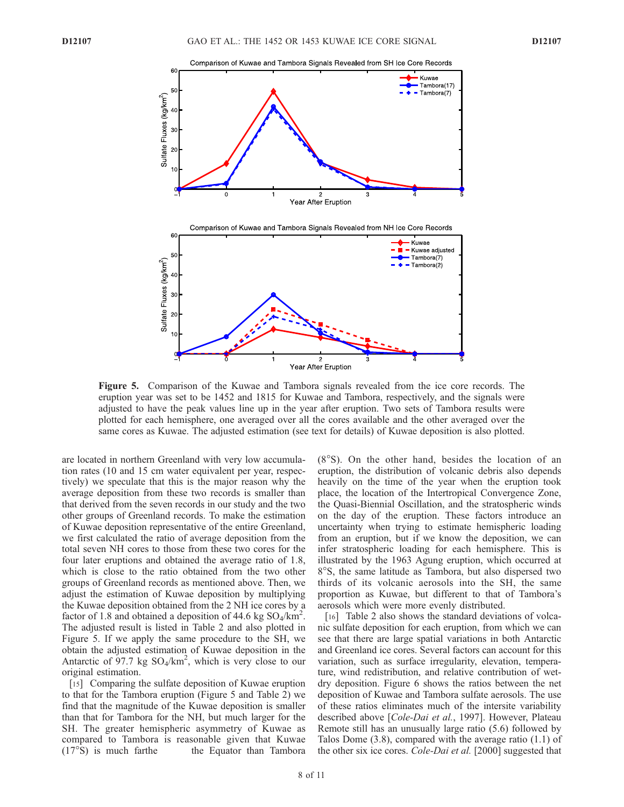

Figure 5. Comparison of the Kuwae and Tambora signals revealed from the ice core records. The eruption year was set to be 1452 and 1815 for Kuwae and Tambora, respectively, and the signals were adjusted to have the peak values line up in the year after eruption. Two sets of Tambora results were plotted for each hemisphere, one averaged over all the cores available and the other averaged over the same cores as Kuwae. The adjusted estimation (see text for details) of Kuwae deposition is also plotted.

are located in northern Greenland with very low accumulation rates (10 and 15 cm water equivalent per year, respectively) we speculate that this is the major reason why the average deposition from these two records is smaller than that derived from the seven records in our study and the two other groups of Greenland records. To make the estimation of Kuwae deposition representative of the entire Greenland, we first calculated the ratio of average deposition from the total seven NH cores to those from these two cores for the four later eruptions and obtained the average ratio of 1.8, which is close to the ratio obtained from the two other groups of Greenland records as mentioned above. Then, we adjust the estimation of Kuwae deposition by multiplying the Kuwae deposition obtained from the 2 NH ice cores by a factor of 1.8 and obtained a deposition of 44.6 kg  $\text{SO}_4/\text{km}^2$ . The adjusted result is listed in Table 2 and also plotted in Figure 5. If we apply the same procedure to the SH, we obtain the adjusted estimation of Kuwae deposition in the Antarctic of  $97.7$  kg SO<sub>4</sub>/km<sup>2</sup>, which is very close to our original estimation.

[15] Comparing the sulfate deposition of Kuwae eruption to that for the Tambora eruption (Figure 5 and Table 2) we find that the magnitude of the Kuwae deposition is smaller than that for Tambora for the NH, but much larger for the SH. The greater hemispheric asymmetry of Kuwae as compared to Tambora is reasonable given that Kuwae  $(17°S)$  is much farthe the Equator than Tambora  $(8°S)$ . On the other hand, besides the location of an eruption, the distribution of volcanic debris also depends heavily on the time of the year when the eruption took place, the location of the Intertropical Convergence Zone, the Quasi-Biennial Oscillation, and the stratospheric winds on the day of the eruption. These factors introduce an uncertainty when trying to estimate hemispheric loading from an eruption, but if we know the deposition, we can infer stratospheric loading for each hemisphere. This is illustrated by the 1963 Agung eruption, which occurred at 8°S, the same latitude as Tambora, but also dispersed two thirds of its volcanic aerosols into the SH, the same proportion as Kuwae, but different to that of Tambora's aerosols which were more evenly distributed.

[16] Table 2 also shows the standard deviations of volcanic sulfate deposition for each eruption, from which we can see that there are large spatial variations in both Antarctic and Greenland ice cores. Several factors can account for this variation, such as surface irregularity, elevation, temperature, wind redistribution, and relative contribution of wetdry deposition. Figure 6 shows the ratios between the net deposition of Kuwae and Tambora sulfate aerosols. The use of these ratios eliminates much of the intersite variability described above [*Cole-Dai et al.*, 1997]. However, Plateau Remote still has an unusually large ratio (5.6) followed by Talos Dome (3.8), compared with the average ratio (1.1) of the other six ice cores. Cole-Dai et al. [2000] suggested that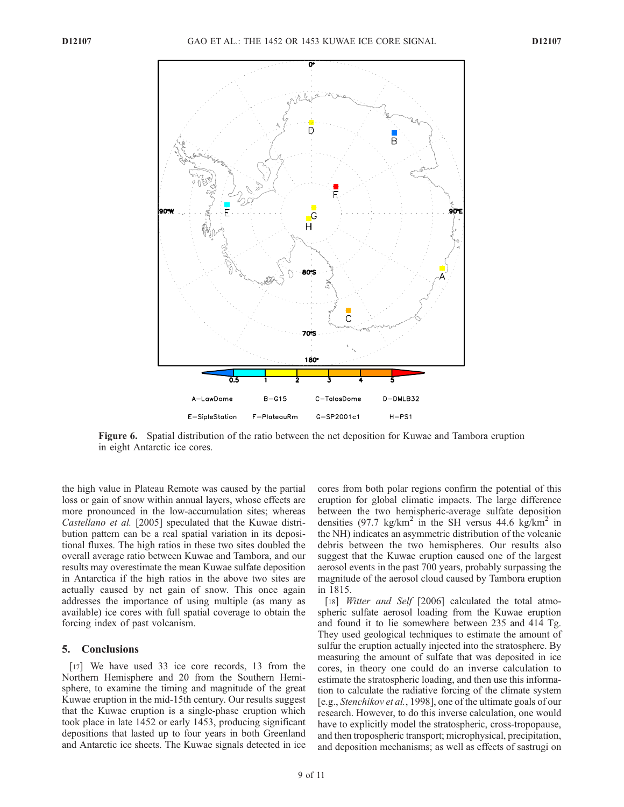

Figure 6. Spatial distribution of the ratio between the net deposition for Kuwae and Tambora eruption in eight Antarctic ice cores.

the high value in Plateau Remote was caused by the partial loss or gain of snow within annual layers, whose effects are more pronounced in the low-accumulation sites; whereas Castellano et al. [2005] speculated that the Kuwae distribution pattern can be a real spatial variation in its depositional fluxes. The high ratios in these two sites doubled the overall average ratio between Kuwae and Tambora, and our results may overestimate the mean Kuwae sulfate deposition in Antarctica if the high ratios in the above two sites are actually caused by net gain of snow. This once again addresses the importance of using multiple (as many as available) ice cores with full spatial coverage to obtain the forcing index of past volcanism.

## 5. Conclusions

[17] We have used 33 ice core records, 13 from the Northern Hemisphere and 20 from the Southern Hemisphere, to examine the timing and magnitude of the great Kuwae eruption in the mid-15th century. Our results suggest that the Kuwae eruption is a single-phase eruption which took place in late 1452 or early 1453, producing significant depositions that lasted up to four years in both Greenland and Antarctic ice sheets. The Kuwae signals detected in ice

cores from both polar regions confirm the potential of this eruption for global climatic impacts. The large difference between the two hemispheric-average sulfate deposition densities (97.7 kg/km<sup>2</sup> in the SH versus 44.6 kg/km<sup>2</sup> in the NH) indicates an asymmetric distribution of the volcanic debris between the two hemispheres. Our results also suggest that the Kuwae eruption caused one of the largest aerosol events in the past 700 years, probably surpassing the magnitude of the aerosol cloud caused by Tambora eruption in 1815.

[18] *Witter and Self* [2006] calculated the total atmospheric sulfate aerosol loading from the Kuwae eruption and found it to lie somewhere between 235 and 414 Tg. They used geological techniques to estimate the amount of sulfur the eruption actually injected into the stratosphere. By measuring the amount of sulfate that was deposited in ice cores, in theory one could do an inverse calculation to estimate the stratospheric loading, and then use this information to calculate the radiative forcing of the climate system [e.g., Stenchikov et al., 1998], one of the ultimate goals of our research. However, to do this inverse calculation, one would have to explicitly model the stratospheric, cross-tropopause, and then tropospheric transport; microphysical, precipitation, and deposition mechanisms; as well as effects of sastrugi on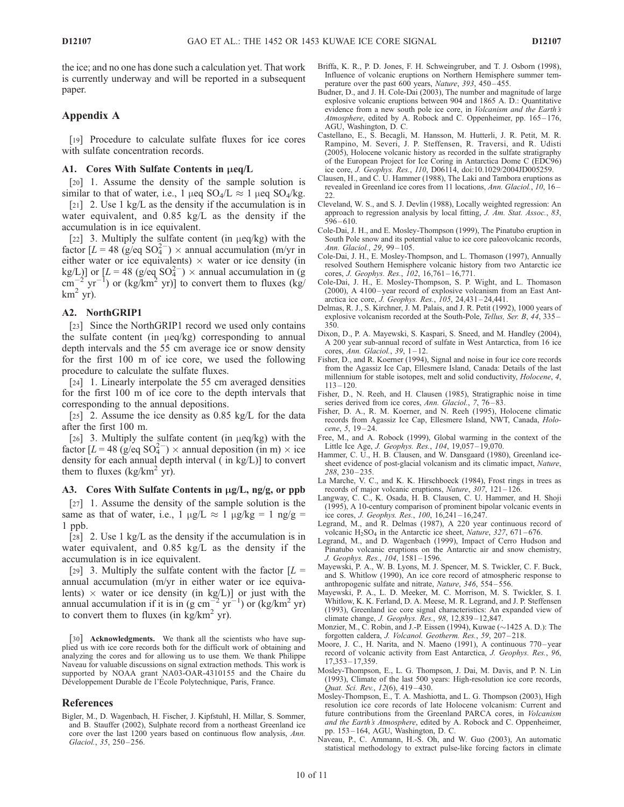the ice; and no one has done such a calculation yet. That work is currently underway and will be reported in a subsequent paper.

## Appendix A

[19] Procedure to calculate sulfate fluxes for ice cores with sulfate concentration records.

## A1. Cores With Sulfate Contents in  $\mu$ eq/L

[20] 1. Assume the density of the sample solution is similar to that of water, i.e., 1  $\mu$ eq SO<sub>4</sub>/L  $\approx$  1  $\mu$ eq SO<sub>4</sub>/kg.

[21] 2. Use 1 kg/L as the density if the accumulation is in water equivalent, and 0.85 kg/L as the density if the accumulation is in ice equivalent.

[22] 3. Multiply the sulfate content (in  $\mu$ eq/kg) with the factor  $[L = 48 \text{ (g/eq SO}_4^{2-}) \times$  annual accumulation (m/yr in either water or ice equivalents)  $\times$  water or ice density (in kg/L)] or  $[L = 48 \text{ (g/eq SO<sub>4</sub><sup>2</sup> –) × annual accumulation in (g)$  $\text{cm}^{-2} \text{ yr}^{-1}$ ) or (kg/km<sup>2</sup> yr)] to convert them to fluxes (kg/  $km^2$  yr).

#### A2. NorthGRIP1

[23] Since the NorthGRIP1 record we used only contains the sulfate content (in  $\mu$ eq/kg) corresponding to annual depth intervals and the 55 cm average ice or snow density for the first 100 m of ice core, we used the following procedure to calculate the sulfate fluxes.

[24] 1. Linearly interpolate the 55 cm averaged densities for the first 100 m of ice core to the depth intervals that corresponding to the annual depositions.

[25] 2. Assume the ice density as  $0.85 \text{ kg/L}$  for the data after the first 100 m.

[26] 3. Multiply the sulfate content (in  $\mu$ eq/kg) with the factor  $[L = 48 \text{ (g/eq SO<sub>4</sub><sup>2</sup>)} \times$  annual deposition (in m)  $\times$  ice density for each annual depth interval ( in kg/L)] to convert them to fluxes (kg/km<sup>2</sup> yr).

#### A3. Cores With Sulfate Contents in  $\mu$ g/L, ng/g, or ppb

[27] 1. Assume the density of the sample solution is the same as that of water, i.e.,  $1 \mu g/L \approx 1 \mu g/kg = 1 \text{ ng/g} =$ 1 ppb.

[28] 2. Use 1 kg/L as the density if the accumulation is in water equivalent, and 0.85 kg/L as the density if the accumulation is in ice equivalent.

[29] 3. Multiply the sulfate content with the factor  $[L =$ annual accumulation (m/yr in either water or ice equivalents)  $\times$  water or ice density (in kg/L)] or just with the annual accumulation if it is in  $(g \text{ cm}^{-2} \text{ yr}^{-1})$  or  $(\text{kg/km}^2 \text{ yr})$ to convert them to fluxes (in  $\text{kg}/\text{km}^2$  yr).

[30] Acknowledgments. We thank all the scientists who have supplied us with ice core records both for the difficult work of obtaining and analyzing the cores and for allowing us to use them. We thank Philippe Naveau for valuable discussions on signal extraction methods. This work is supported by NOAA grant NA03-OAR-4310155 and the Chaire du Développement Durable de l'Ecole Polytechnique, Paris, France.

#### References

Bigler, M., D. Wagenbach, H. Fischer, J. Kipfstuhl, H. Millar, S. Sommer, and B. Stauffer (2002), Sulphate record from a northeast Greenland ice core over the last 1200 years based on continuous flow analysis, Ann. Glaciol., 35, 250-256.

- Briffa, K. R., P. D. Jones, F. H. Schweingruber, and T. J. Osborn (1998), Influence of volcanic eruptions on Northern Hemisphere summer temperature over the past  $600$  years, *Nature*,  $393$ ,  $450-\overline{455}$ .
- Budner, D., and J. H. Cole-Dai (2003), The number and magnitude of large explosive volcanic eruptions between 904 and 1865 A. D.: Quantitative evidence from a new south pole ice core, in Volcanism and the Earth's Atmosphere, edited by A. Robock and C. Oppenheimer, pp. 165-176, AGU, Washington, D. C.
- Castellano, E., S. Becagli, M. Hansson, M. Hutterli, J. R. Petit, M. R. Rampino, M. Severi, J. P. Steffensen, R. Traversi, and R. Udisti (2005), Holocene volcanic history as recorded in the sulfate stratigraphy of the European Project for Ice Coring in Antarctica Dome C (EDC96) ice core, J. Geophys. Res., 110, D06114, doi:10.1029/2004JD005259.
- Clausen, H., and C. U. Hammer (1988), The Laki and Tambora eruptions as revealed in Greenland ice cores from 11 locations, Ann. Glaciol., 10, 16 – 22.
- Cleveland, W. S., and S. J. Devlin (1988), Locally weighted regression: An approach to regression analysis by local fitting, J. Am. Stat. Assoc., 83,  $596 - 610.$
- Cole-Dai, J. H., and E. Mosley-Thompson (1999), The Pinatubo eruption in South Pole snow and its potential value to ice core paleovolcanic records, Ann. Glaciol., 29, 99 – 105.
- Cole-Dai, J. H., E. Mosley-Thompson, and L. Thomason (1997), Annually resolved Southern Hemisphere volcanic history from two Antarctic ice cores, *J. Geophys. Res.*, 102, 16,761-16,771.
- Cole-Dai, J. H., E. Mosley-Thompson, S. P. Wight, and L. Thomason (2000), A 4100 – year record of explosive volcanism from an East Antarctica ice core, J. Geophys. Res.,  $105$ ,  $24,431 - 24,441$ .
- Delmas, R. J., S. Kirchner, J. M. Palais, and J. R. Petit (1992), 1000 years of explosive volcanism recorded at the South-Pole, Tellus, Ser. B, 44, 335– 350.
- Dixon, D., P. A. Mayewski, S. Kaspari, S. Sneed, and M. Handley (2004), A 200 year sub-annual record of sulfate in West Antarctica, from 16 ice cores, Ann. Glaciol., 39, 1-12.
- Fisher, D., and R. Koerner (1994), Signal and noise in four ice core records from the Agassiz Ice Cap, Ellesmere Island, Canada: Details of the last millennium for stable isotopes, melt and solid conductivity, Holocene, 4,  $113 - 120$
- Fisher, D., N. Reeh, and H. Clausen (1985), Stratigraphic noise in time series derived from ice cores, Ann. Glaciol., 7, 76-83.
- Fisher, D. A., R. M. Koerner, and N. Reeh (1995), Holocene climatic records from Agassiz Ice Cap, Ellesmere Island, NWT, Canada, Holocene, 5, 19-24.
- Free, M., and A. Robock (1999), Global warming in the context of the Little Ice Age, *J. Geophys. Res.*, 104, 19,057-19,070.
- Hammer, C. U., H. B. Clausen, and W. Dansgaard (1980), Greenland icesheet evidence of post-glacial volcanism and its climatic impact, Nature, 288, 230 – 235.
- La Marche, V. C., and K. K. Hirschboeck (1984), Frost rings in trees as records of major volcanic eruptions, Nature, 307, 121 – 126.
- Langway, C. C., K. Osada, H. B. Clausen, C. U. Hammer, and H. Shoji (1995), A 10-century comparison of prominent bipolar volcanic events in ice cores, J. Geophys. Res., 100, 16,241 – 16,247.
- Legrand, M., and R. Delmas (1987), A 220 year continuous record of volcanic  $H<sub>2</sub>SO<sub>4</sub>$  in the Antarctic ice sheet, Nature, 327, 671-676.
- Legrand, M., and D. Wagenbach (1999), Impact of Cerro Hudson and Pinatubo volcanic eruptions on the Antarctic air and snow chemistry, J. Geophys. Res., 104, 1581-1596.
- Mayewski, P. A., W. B. Lyons, M. J. Spencer, M. S. Twickler, C. F. Buck, and S. Whitlow (1990), An ice core record of atmospheric response to anthropogenic sulfate and nitrate, Nature, 346, 554 – 556.
- Mayewski, P. A., L. D. Meeker, M. C. Morrison, M. S. Twickler, S. I. Whitlow, K. K. Ferland, D. A. Meese, M. R. Legrand, and J. P. Steffensen (1993), Greenland ice core signal characteristics: An expanded view of climate change, J. Geophys. Res., 98, 12,839 – 12,847.
- Monzier, M., C. Robin, and J.-P. Eissen (1994), Kuwae ( $\sim$ 1425 A. D.): The forgotten caldera, J. Volcanol. Geotherm. Res., 59, 207 – 218.
- Moore, J. C., H. Narita, and N. Maeno (1991), A continuous 770 year record of volcanic activity from East Antarctica, J. Geophys. Res., 96, 17,353 – 17,359.
- Mosley-Thompson, E., L. G. Thompson, J. Dai, M. Davis, and P. N. Lin (1993), Climate of the last 500 years: High-resolution ice core records, Quat. Sci. Rev., 12(6), 419-430.
- Mosley-Thompson, E., T. A. Mashiotta, and L. G. Thompson (2003), High resolution ice core records of late Holocene volcanism: Current and future contributions from the Greenland PARCA cores, in Volcanism and the Earth's Atmosphere, edited by A. Robock and C. Oppenheimer, pp. 153 – 164, AGU, Washington, D. C.
- Naveau, P., C. Ammann, H.-S. Oh, and W. Guo (2003), An automatic statistical methodology to extract pulse-like forcing factors in climate